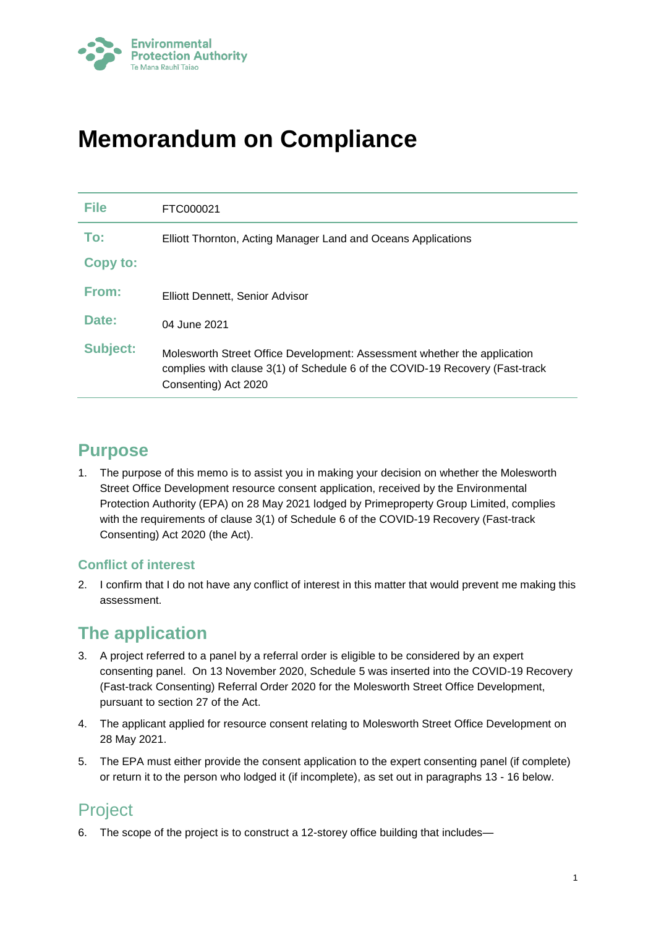

# **Memorandum on Compliance**

| <b>File</b>     | FTC000021                                                                                                                                                                        |
|-----------------|----------------------------------------------------------------------------------------------------------------------------------------------------------------------------------|
| To:             | Elliott Thornton, Acting Manager Land and Oceans Applications                                                                                                                    |
| Copy to:        |                                                                                                                                                                                  |
| From:           | Elliott Dennett, Senior Advisor                                                                                                                                                  |
| Date:           | 04 June 2021                                                                                                                                                                     |
| <b>Subject:</b> | Molesworth Street Office Development: Assessment whether the application<br>complies with clause 3(1) of Schedule 6 of the COVID-19 Recovery (Fast-track<br>Consenting) Act 2020 |

## **Purpose**

1. The purpose of this memo is to assist you in making your decision on whether the Molesworth Street Office Development resource consent application, received by the Environmental Protection Authority (EPA) on 28 May 2021 lodged by Primeproperty Group Limited, complies with the requirements of clause 3(1) of Schedule 6 of the COVID-19 Recovery (Fast-track Consenting) Act 2020 (the Act).

### **Conflict of interest**

2. I confirm that I do not have any conflict of interest in this matter that would prevent me making this assessment.

# **The application**

- 3. A project referred to a panel by a referral order is eligible to be considered by an expert consenting panel. On 13 November 2020, Schedule 5 was inserted into the COVID-19 Recovery (Fast-track Consenting) Referral Order 2020 for the Molesworth Street Office Development, pursuant to section 27 of the Act.
- 4. The applicant applied for resource consent relating to Molesworth Street Office Development on 28 May 2021.
- 5. The EPA must either provide the consent application to the expert consenting panel (if complete) or return it to the person who lodged it (if incomplete), as set out in paragraphs 13 - 16 below.

## Project

6. The scope of the project is to construct a 12-storey office building that includes—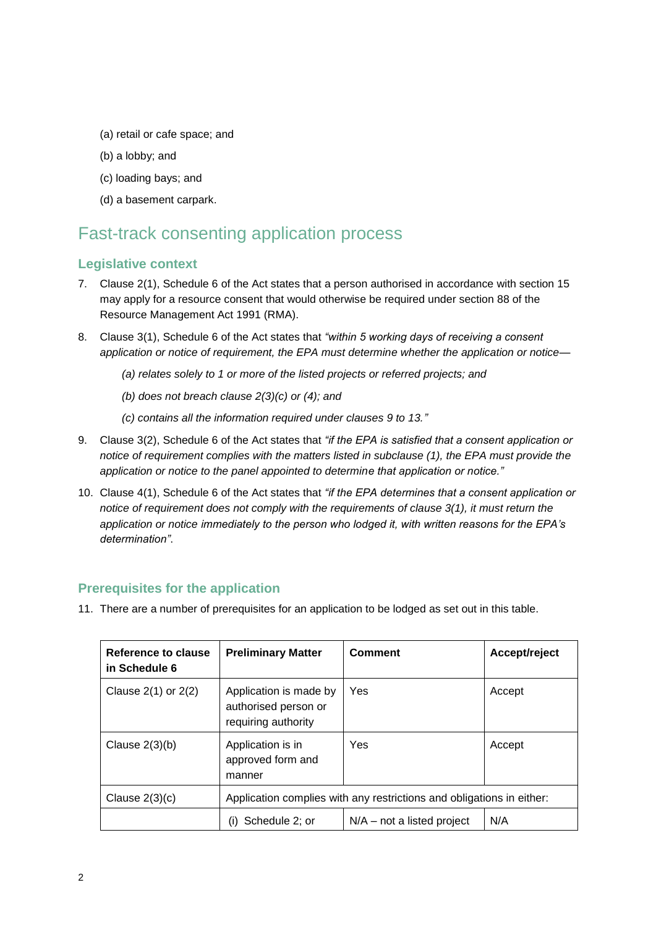- (a) retail or cafe space; and
- (b) a lobby; and
- (c) loading bays; and
- (d) a basement carpark.

### Fast-track consenting application process

#### **Legislative context**

- 7. Clause 2(1), Schedule 6 of the Act states that a person authorised in accordance with section 15 may apply for a resource consent that would otherwise be required under section 88 of the Resource Management Act 1991 (RMA).
- 8. Clause 3(1), Schedule 6 of the Act states that *"within 5 working days of receiving a consent application or notice of requirement, the EPA must determine whether the application or notice—*
	- *(a) relates solely to 1 or more of the listed projects or referred projects; and*
	- *(b) does not breach clause 2(3)(c) or (4); and*
	- *(c) contains all the information required under clauses 9 to 13."*
- 9. Clause 3(2), Schedule 6 of the Act states that *"if the EPA is satisfied that a consent application or notice of requirement complies with the matters listed in subclause (1), the EPA must provide the application or notice to the panel appointed to determine that application or notice."*
- 10. Clause 4(1), Schedule 6 of the Act states that *"if the EPA determines that a consent application or notice of requirement does not comply with the requirements of clause 3(1), it must return the application or notice immediately to the person who lodged it, with written reasons for the EPA's determination"*.

#### **Prerequisites for the application**

11. There are a number of prerequisites for an application to be lodged as set out in this table.

| Reference to clause<br>in Schedule 6 | <b>Preliminary Matter</b>                                             | <b>Comment</b>               | Accept/reject |
|--------------------------------------|-----------------------------------------------------------------------|------------------------------|---------------|
| Clause $2(1)$ or $2(2)$              | Application is made by<br>authorised person or<br>requiring authority | Yes                          | Accept        |
| Clause $2(3)(b)$                     | Application is in<br>approved form and<br>manner                      | Yes                          | Accept        |
| Clause $2(3)(c)$                     | Application complies with any restrictions and obligations in either: |                              |               |
|                                      | Schedule 2: or<br>(i)                                                 | $N/A$ – not a listed project | N/A           |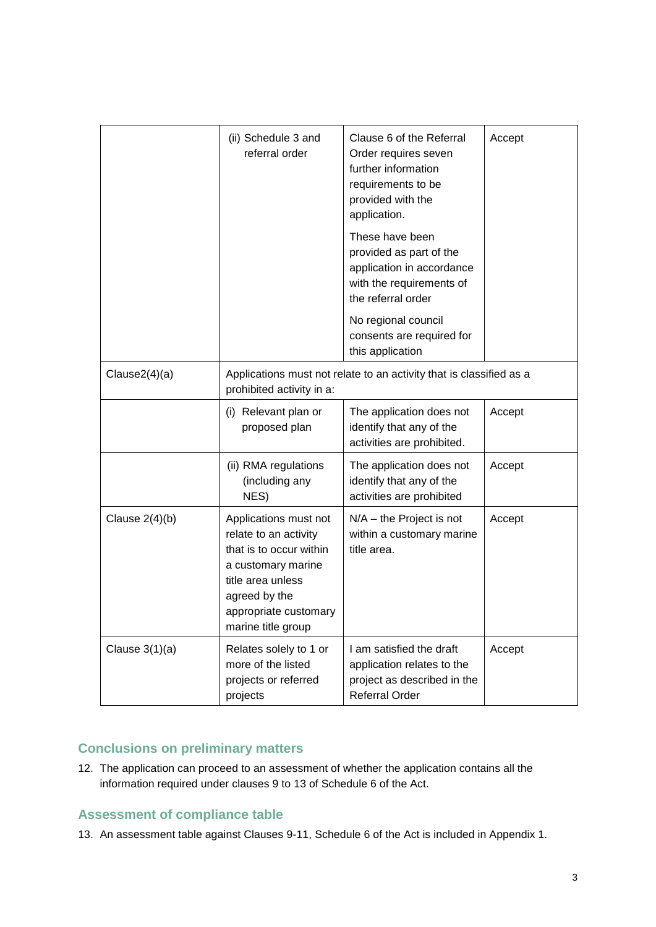|                  | (ii) Schedule 3 and<br>referral order                                                                                                                                                | Clause 6 of the Referral<br>Order requires seven<br>further information<br>requirements to be<br>provided with the<br>application. | Accept |
|------------------|--------------------------------------------------------------------------------------------------------------------------------------------------------------------------------------|------------------------------------------------------------------------------------------------------------------------------------|--------|
|                  |                                                                                                                                                                                      | These have been<br>provided as part of the<br>application in accordance<br>with the requirements of<br>the referral order          |        |
|                  |                                                                                                                                                                                      | No regional council<br>consents are required for<br>this application                                                               |        |
| Clause2(4)(a)    | Applications must not relate to an activity that is classified as a<br>prohibited activity in a:                                                                                     |                                                                                                                                    |        |
|                  | (i) Relevant plan or<br>proposed plan                                                                                                                                                | The application does not<br>identify that any of the<br>activities are prohibited.                                                 | Accept |
|                  | (ii) RMA regulations<br>(including any<br>NES)                                                                                                                                       | The application does not<br>identify that any of the<br>activities are prohibited                                                  | Accept |
| Clause $2(4)(b)$ | Applications must not<br>relate to an activity<br>that is to occur within<br>a customary marine<br>title area unless<br>agreed by the<br>appropriate customary<br>marine title group | $N/A$ – the Project is not<br>within a customary marine<br>title area.                                                             | Accept |
| Clause $3(1)(a)$ | Relates solely to 1 or<br>more of the listed<br>projects or referred<br>projects                                                                                                     | I am satisfied the draft<br>application relates to the<br>project as described in the<br>Referral Order                            | Accept |

### **Conclusions on preliminary matters**

12. The application can proceed to an assessment of whether the application contains all the information required under clauses 9 to 13 of Schedule 6 of the Act.

### **Assessment of compliance table**

13. An assessment table against Clauses 9-11, Schedule 6 of the Act is included in Appendix 1.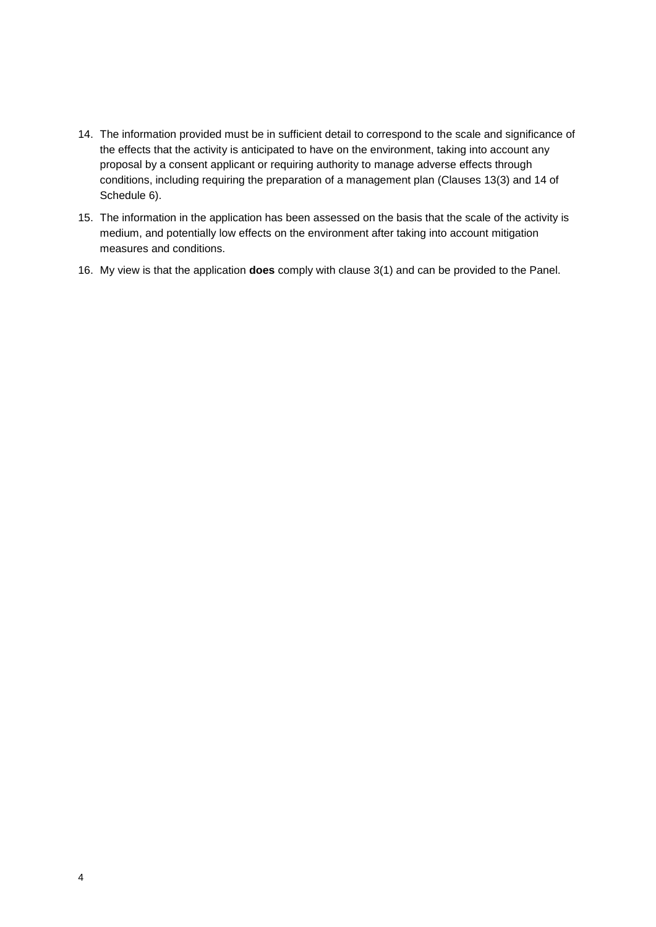- 14. The information provided must be in sufficient detail to correspond to the scale and significance of the effects that the activity is anticipated to have on the environment, taking into account any proposal by a consent applicant or requiring authority to manage adverse effects through conditions, including requiring the preparation of a management plan (Clauses 13(3) and 14 of Schedule 6).
- 15. The information in the application has been assessed on the basis that the scale of the activity is medium, and potentially low effects on the environment after taking into account mitigation measures and conditions.
- 16. My view is that the application **does** comply with clause 3(1) and can be provided to the Panel.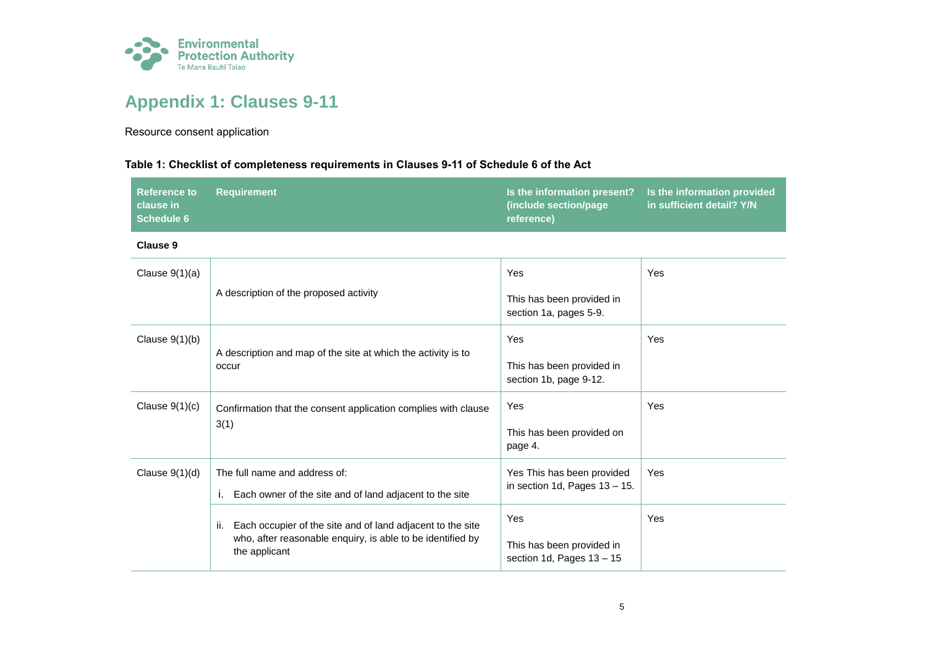

# **Appendix 1: Clauses 9-11**

Resource consent application

#### **Table 1: Checklist of completeness requirements in Clauses 9-11 of Schedule 6 of the Act**

| Reference to     | <b>7 Requirement</b> | Is the information present? Is the information provided |                                          |
|------------------|----------------------|---------------------------------------------------------|------------------------------------------|
| <b>clause</b> in |                      | (include section/page)                                  | i in sufficient detail? Y/N <sup>।</sup> |
| Schedule 6       |                      | reference)                                              |                                          |

**Clause 9**

| Clause $9(1)(a)$ | A description of the proposed activity                                                                                                                                                                            | Yes<br>This has been provided in<br>section 1a, pages 5-9.     | Yes |
|------------------|-------------------------------------------------------------------------------------------------------------------------------------------------------------------------------------------------------------------|----------------------------------------------------------------|-----|
| Clause $9(1)(b)$ | A description and map of the site at which the activity is to                                                                                                                                                     | Yes                                                            | Yes |
|                  | occur                                                                                                                                                                                                             | This has been provided in<br>section 1b, page 9-12.            |     |
| Clause $9(1)(c)$ | Confirmation that the consent application complies with clause<br>3(1)                                                                                                                                            | Yes                                                            | Yes |
|                  |                                                                                                                                                                                                                   | This has been provided on<br>page 4.                           |     |
| Clause $9(1)(d)$ | The full name and address of:                                                                                                                                                                                     | Yes This has been provided<br>in section 1d, Pages $13 - 15$ . | Yes |
|                  | Each owner of the site and of land adjacent to the site<br>Ъ.<br>Each occupier of the site and of land adjacent to the site<br>ii.<br>who, after reasonable enquiry, is able to be identified by<br>the applicant |                                                                |     |
|                  |                                                                                                                                                                                                                   | Yes                                                            | Yes |
|                  |                                                                                                                                                                                                                   | This has been provided in<br>section 1d, Pages $13 - 15$       |     |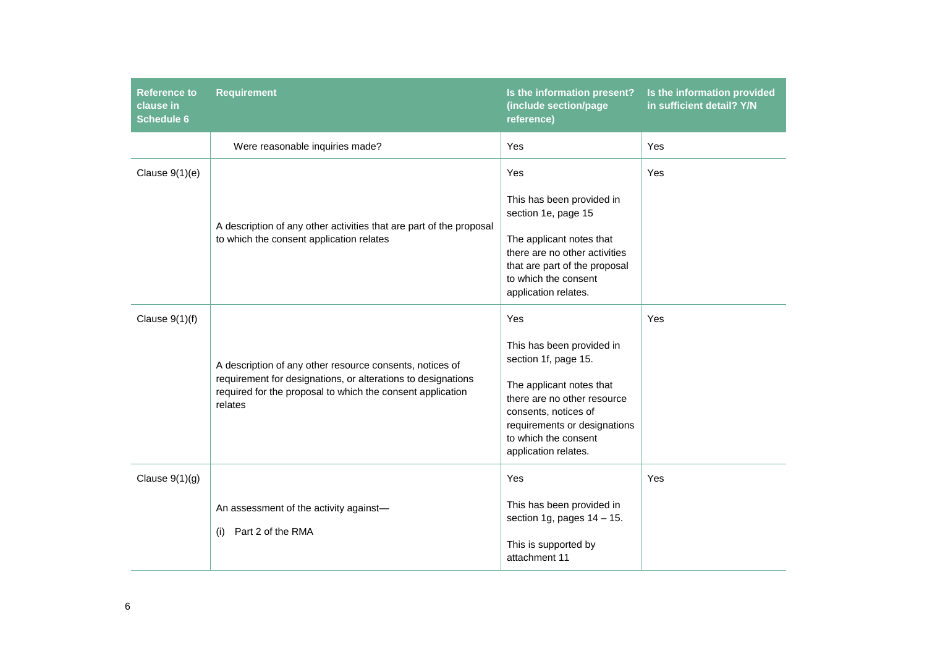| <b>Reference to</b><br>clause in<br><b>Schedule 6</b> | <b>Requirement</b>                                                                                                                                                                                | Is the information present?<br>(include section/page<br>reference)                                                                                                                                                          | Is the information provided<br>in sufficient detail? Y/N |
|-------------------------------------------------------|---------------------------------------------------------------------------------------------------------------------------------------------------------------------------------------------------|-----------------------------------------------------------------------------------------------------------------------------------------------------------------------------------------------------------------------------|----------------------------------------------------------|
|                                                       | Were reasonable inquiries made?                                                                                                                                                                   | Yes                                                                                                                                                                                                                         | Yes                                                      |
| Clause $9(1)(e)$                                      | A description of any other activities that are part of the proposal<br>to which the consent application relates                                                                                   | Yes<br>This has been provided in<br>section 1e, page 15<br>The applicant notes that<br>there are no other activities<br>that are part of the proposal<br>to which the consent<br>application relates.                       | Yes                                                      |
| Clause $9(1)(f)$                                      | A description of any other resource consents, notices of<br>requirement for designations, or alterations to designations<br>required for the proposal to which the consent application<br>relates | Yes<br>This has been provided in<br>section 1f, page 15.<br>The applicant notes that<br>there are no other resource<br>consents, notices of<br>requirements or designations<br>to which the consent<br>application relates. | Yes                                                      |
| Clause $9(1)(g)$                                      | An assessment of the activity against-<br>Part 2 of the RMA<br>(i)                                                                                                                                | Yes<br>This has been provided in<br>section 1g, pages $14 - 15$ .<br>This is supported by<br>attachment 11                                                                                                                  | Yes                                                      |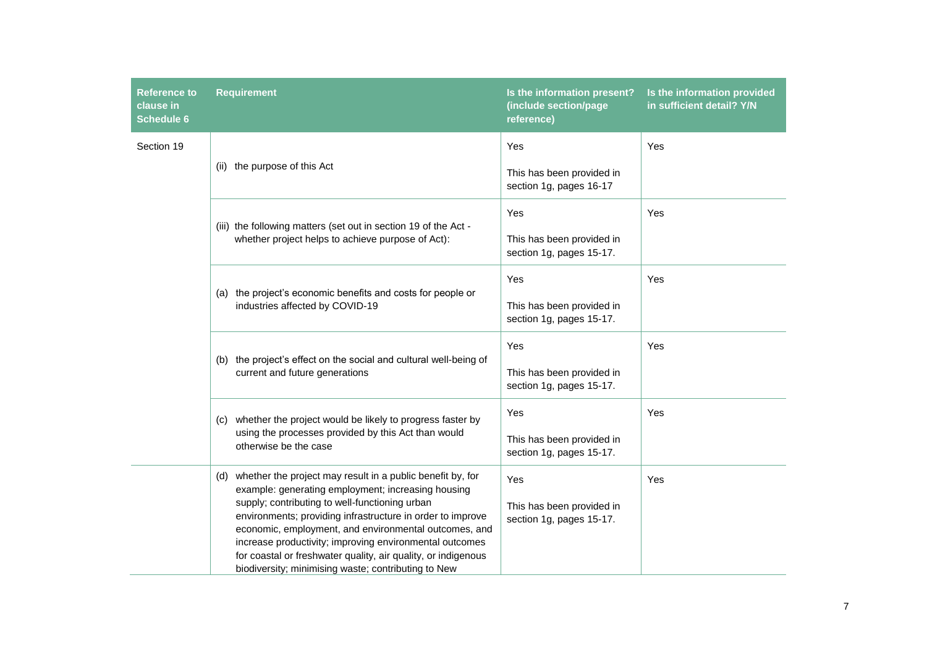| Reference to<br>clause in<br><b>Schedule 6</b> | <b>Requirement</b>                                                                                                                                                                                                                                                                                                                                                                                                                                                               | Is the information present?<br>(include section/page<br>reference) | Is the information provided<br>in sufficient detail? Y/N |
|------------------------------------------------|----------------------------------------------------------------------------------------------------------------------------------------------------------------------------------------------------------------------------------------------------------------------------------------------------------------------------------------------------------------------------------------------------------------------------------------------------------------------------------|--------------------------------------------------------------------|----------------------------------------------------------|
| Section 19                                     | (ii) the purpose of this Act                                                                                                                                                                                                                                                                                                                                                                                                                                                     | Yes<br>This has been provided in<br>section 1g, pages 16-17        | Yes                                                      |
|                                                | (iii) the following matters (set out in section 19 of the Act -<br>whether project helps to achieve purpose of Act):                                                                                                                                                                                                                                                                                                                                                             | Yes<br>This has been provided in<br>section 1g, pages 15-17.       | Yes                                                      |
|                                                | (a) the project's economic benefits and costs for people or<br>industries affected by COVID-19                                                                                                                                                                                                                                                                                                                                                                                   | Yes<br>This has been provided in<br>section 1g, pages 15-17.       | Yes                                                      |
|                                                | (b) the project's effect on the social and cultural well-being of<br>current and future generations                                                                                                                                                                                                                                                                                                                                                                              | Yes<br>This has been provided in<br>section 1g, pages 15-17.       | Yes                                                      |
|                                                | whether the project would be likely to progress faster by<br>(C)<br>using the processes provided by this Act than would<br>otherwise be the case                                                                                                                                                                                                                                                                                                                                 | Yes<br>This has been provided in<br>section 1g, pages 15-17.       | Yes                                                      |
|                                                | (d) whether the project may result in a public benefit by, for<br>example: generating employment; increasing housing<br>supply; contributing to well-functioning urban<br>environments; providing infrastructure in order to improve<br>economic, employment, and environmental outcomes, and<br>increase productivity; improving environmental outcomes<br>for coastal or freshwater quality, air quality, or indigenous<br>biodiversity; minimising waste; contributing to New | Yes<br>This has been provided in<br>section 1g, pages 15-17.       | Yes                                                      |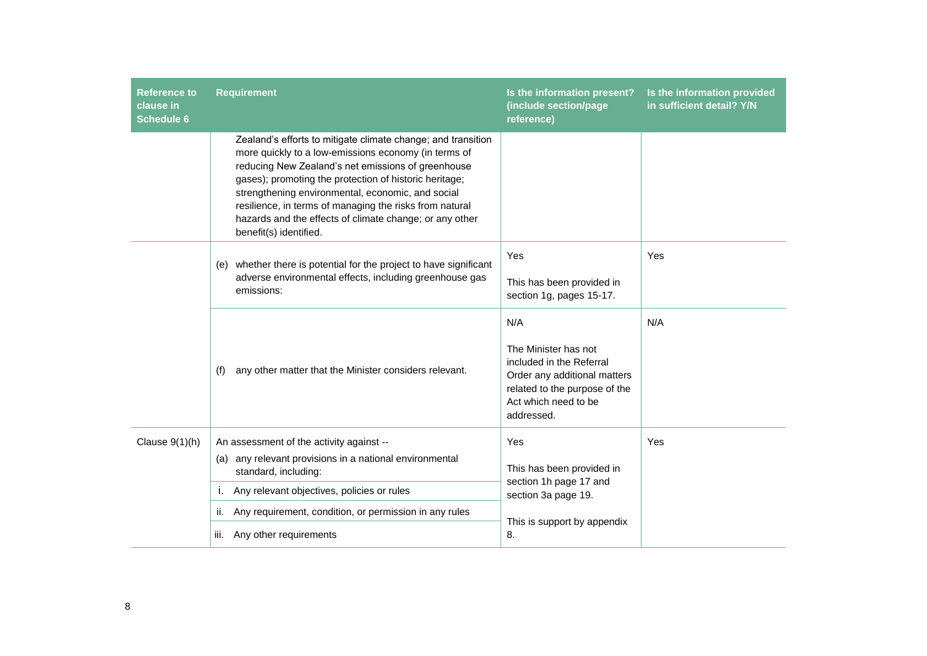| <b>Reference to</b><br>clause in<br><b>Schedule 6</b> | <b>Requirement</b>                                                                                                                                                                                                                                                                                                                                                                                                                        | Is the information present?<br>(include section/page<br>reference)                                                                                             | Is the information provided<br>in sufficient detail? Y/N |
|-------------------------------------------------------|-------------------------------------------------------------------------------------------------------------------------------------------------------------------------------------------------------------------------------------------------------------------------------------------------------------------------------------------------------------------------------------------------------------------------------------------|----------------------------------------------------------------------------------------------------------------------------------------------------------------|----------------------------------------------------------|
|                                                       | Zealand's efforts to mitigate climate change; and transition<br>more quickly to a low-emissions economy (in terms of<br>reducing New Zealand's net emissions of greenhouse<br>gases); promoting the protection of historic heritage;<br>strengthening environmental, economic, and social<br>resilience, in terms of managing the risks from natural<br>hazards and the effects of climate change; or any other<br>benefit(s) identified. |                                                                                                                                                                |                                                          |
|                                                       | (e) whether there is potential for the project to have significant<br>adverse environmental effects, including greenhouse gas<br>emissions:                                                                                                                                                                                                                                                                                               | Yes<br>This has been provided in<br>section 1g, pages 15-17.                                                                                                   | Yes                                                      |
|                                                       | any other matter that the Minister considers relevant.<br>(f)                                                                                                                                                                                                                                                                                                                                                                             | N/A<br>The Minister has not<br>included in the Referral<br>Order any additional matters<br>related to the purpose of the<br>Act which need to be<br>addressed. | N/A                                                      |
| Clause $9(1)(h)$                                      | An assessment of the activity against --<br>any relevant provisions in a national environmental<br>(a)<br>standard, including:                                                                                                                                                                                                                                                                                                            | Yes<br>This has been provided in<br>section 1h page 17 and                                                                                                     | Yes                                                      |
|                                                       | Any relevant objectives, policies or rules<br>j.<br>Any requirement, condition, or permission in any rules<br>ii.                                                                                                                                                                                                                                                                                                                         | section 3a page 19.                                                                                                                                            |                                                          |
|                                                       | Any other requirements<br>iii.                                                                                                                                                                                                                                                                                                                                                                                                            | This is support by appendix<br>8.                                                                                                                              |                                                          |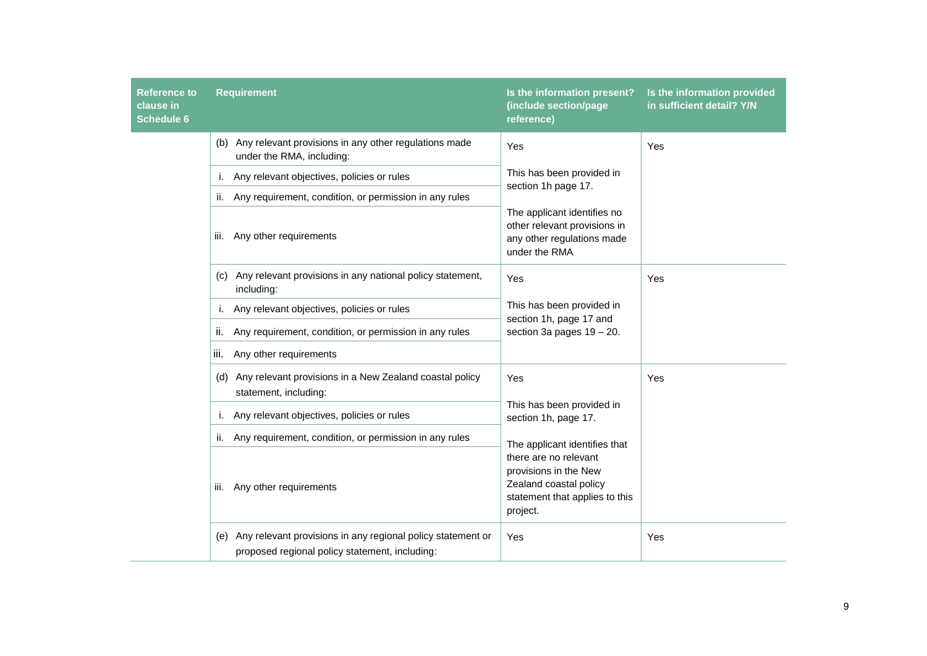| <b>Reference to</b><br>clause in<br><b>Schedule 6</b> | <b>Requirement</b>                                                                                                   | Is the information present?<br>(include section/page<br>reference)                                                     | Is the information provided<br>in sufficient detail? Y/N |
|-------------------------------------------------------|----------------------------------------------------------------------------------------------------------------------|------------------------------------------------------------------------------------------------------------------------|----------------------------------------------------------|
|                                                       | (b) Any relevant provisions in any other regulations made<br>under the RMA, including:                               | Yes                                                                                                                    | Yes                                                      |
|                                                       | Any relevant objectives, policies or rules<br>Τ.                                                                     | This has been provided in<br>section 1h page 17.                                                                       |                                                          |
|                                                       | Any requirement, condition, or permission in any rules<br>ii.                                                        |                                                                                                                        |                                                          |
|                                                       | Any other requirements<br>III.                                                                                       | The applicant identifies no<br>other relevant provisions in<br>any other regulations made<br>under the RMA             |                                                          |
|                                                       | (c) Any relevant provisions in any national policy statement,<br>including:                                          | Yes                                                                                                                    | Yes                                                      |
|                                                       | i. Any relevant objectives, policies or rules                                                                        | This has been provided in<br>section 1h, page 17 and                                                                   |                                                          |
|                                                       | Any requirement, condition, or permission in any rules<br>Ш.                                                         | section 3a pages $19 - 20$ .                                                                                           |                                                          |
|                                                       | iii. Any other requirements                                                                                          |                                                                                                                        |                                                          |
|                                                       | (d) Any relevant provisions in a New Zealand coastal policy<br>statement, including:                                 | Yes                                                                                                                    | Yes                                                      |
|                                                       | i. Any relevant objectives, policies or rules                                                                        | This has been provided in<br>section 1h, page 17.                                                                      |                                                          |
|                                                       | ii. Any requirement, condition, or permission in any rules                                                           | The applicant identifies that                                                                                          |                                                          |
|                                                       | Any other requirements<br>Ш.                                                                                         | there are no relevant<br>provisions in the New<br>Zealand coastal policy<br>statement that applies to this<br>project. |                                                          |
|                                                       | Any relevant provisions in any regional policy statement or<br>(e)<br>proposed regional policy statement, including: | Yes                                                                                                                    | Yes                                                      |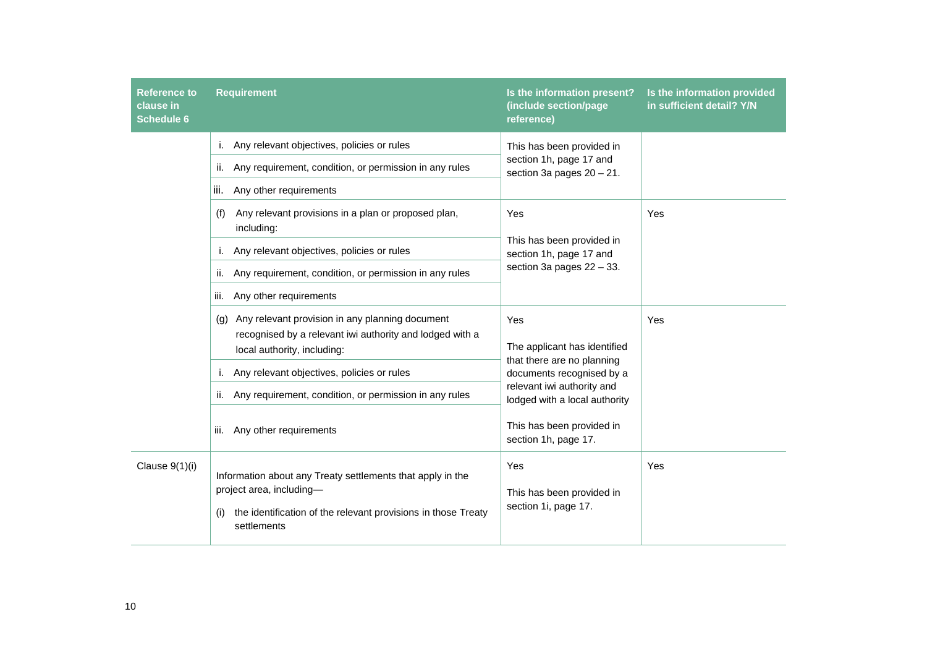| <b>Reference to</b><br>clause in<br><b>Schedule 6</b> | <b>Requirement</b>                                                                                                                                                            | Is the information present?<br>(include section/page<br>reference)                                                                                            | Is the information provided<br>in sufficient detail? Y/N |
|-------------------------------------------------------|-------------------------------------------------------------------------------------------------------------------------------------------------------------------------------|---------------------------------------------------------------------------------------------------------------------------------------------------------------|----------------------------------------------------------|
|                                                       | Any relevant objectives, policies or rules<br>i.<br>Any requirement, condition, or permission in any rules<br>ii.<br>Any other requirements<br>iii.                           | This has been provided in<br>section 1h, page 17 and<br>section 3a pages $20 - 21$ .                                                                          |                                                          |
|                                                       | Any relevant provisions in a plan or proposed plan,<br>(f)<br>including:<br>Any relevant objectives, policies or rules                                                        | Yes<br>This has been provided in<br>section 1h, page 17 and                                                                                                   |                                                          |
|                                                       | Any requirement, condition, or permission in any rules<br>ii.<br>Any other requirements<br>iii.                                                                               | section 3a pages $22 - 33$ .                                                                                                                                  |                                                          |
|                                                       | (g) Any relevant provision in any planning document<br>recognised by a relevant iwi authority and lodged with a<br>local authority, including:                                | Yes<br>The applicant has identified<br>that there are no planning<br>documents recognised by a<br>relevant iwi authority and<br>lodged with a local authority | Yes                                                      |
|                                                       | Any relevant objectives, policies or rules<br>i.<br>Any requirement, condition, or permission in any rules<br>ii.                                                             |                                                                                                                                                               |                                                          |
|                                                       | Any other requirements<br>iii.                                                                                                                                                | This has been provided in<br>section 1h, page 17.                                                                                                             |                                                          |
| Clause 9(1)(i)                                        | Information about any Treaty settlements that apply in the<br>project area, including-<br>the identification of the relevant provisions in those Treaty<br>(i)<br>settlements | Yes<br>This has been provided in<br>section 1i, page 17.                                                                                                      | Yes                                                      |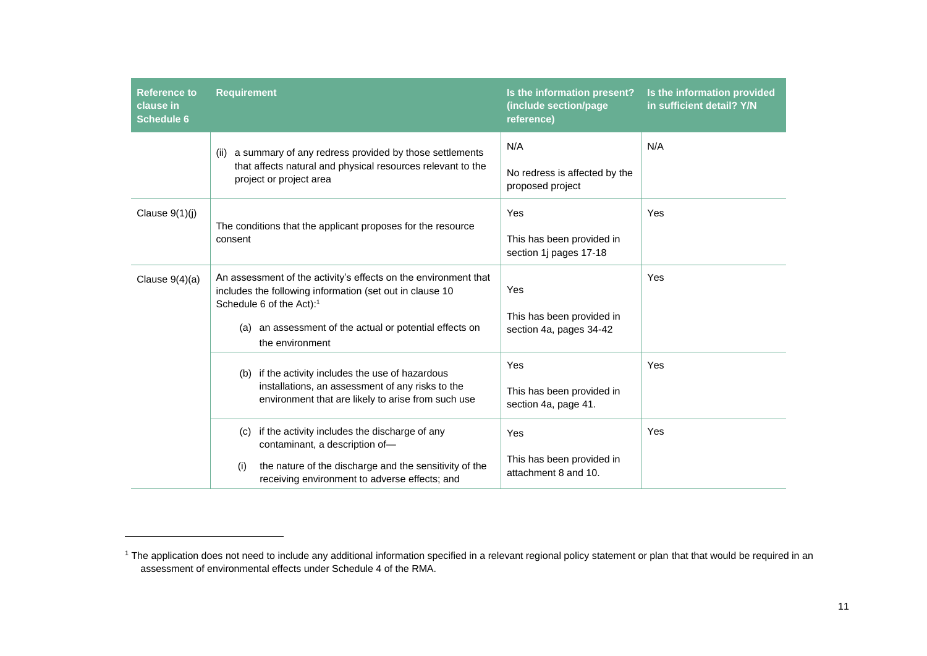| <b>Reference to</b><br>clause in<br><b>Schedule 6</b> | <b>Requirement</b>                                                                                                                                                                                                                                   | Is the information present?<br>(include section/page<br>reference) | Is the information provided<br>in sufficient detail? Y/N |
|-------------------------------------------------------|------------------------------------------------------------------------------------------------------------------------------------------------------------------------------------------------------------------------------------------------------|--------------------------------------------------------------------|----------------------------------------------------------|
|                                                       | a summary of any redress provided by those settlements<br>(ii)<br>that affects natural and physical resources relevant to the<br>project or project area                                                                                             | N/A<br>No redress is affected by the<br>proposed project           | N/A                                                      |
| Clause $9(1)(j)$                                      | The conditions that the applicant proposes for the resource<br>consent                                                                                                                                                                               | Yes<br>This has been provided in<br>section 1j pages 17-18         | Yes                                                      |
| Clause $9(4)(a)$                                      | An assessment of the activity's effects on the environment that<br>includes the following information (set out in clause 10<br>Schedule 6 of the Act): <sup>1</sup><br>an assessment of the actual or potential effects on<br>(a)<br>the environment | Yes<br>This has been provided in<br>section 4a, pages 34-42        | Yes                                                      |
|                                                       | (b) if the activity includes the use of hazardous<br>installations, an assessment of any risks to the<br>environment that are likely to arise from such use                                                                                          | Yes<br>This has been provided in<br>section 4a, page 41.           | Yes                                                      |
|                                                       | if the activity includes the discharge of any<br>(c)<br>contaminant, a description of-<br>the nature of the discharge and the sensitivity of the<br>(i)<br>receiving environment to adverse effects; and                                             | Yes<br>This has been provided in<br>attachment 8 and 10.           | Yes                                                      |

l

<sup>&</sup>lt;sup>1</sup> The application does not need to include any additional information specified in a relevant regional policy statement or plan that that would be required in an assessment of environmental effects under Schedule 4 of the RMA.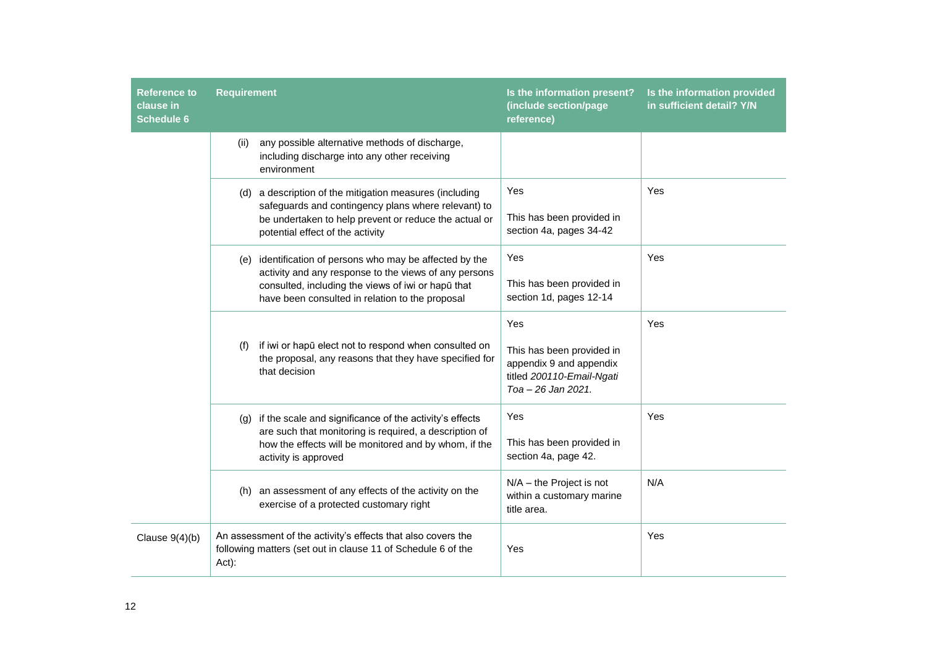| <b>Reference to</b><br>clause in<br><b>Schedule 6</b> | <b>Requirement</b>                                                                                                                                                                                                                                                                                                                                                                                                                                                                                                                                                                                                                                                                                                                                                                             |                                                                                                | Is the information present?<br>(include section/page<br>reference)                                             | Is the information provided<br>in sufficient detail? Y/N |
|-------------------------------------------------------|------------------------------------------------------------------------------------------------------------------------------------------------------------------------------------------------------------------------------------------------------------------------------------------------------------------------------------------------------------------------------------------------------------------------------------------------------------------------------------------------------------------------------------------------------------------------------------------------------------------------------------------------------------------------------------------------------------------------------------------------------------------------------------------------|------------------------------------------------------------------------------------------------|----------------------------------------------------------------------------------------------------------------|----------------------------------------------------------|
|                                                       | (ii)<br>environment                                                                                                                                                                                                                                                                                                                                                                                                                                                                                                                                                                                                                                                                                                                                                                            | any possible alternative methods of discharge,<br>including discharge into any other receiving |                                                                                                                |                                                          |
|                                                       | (d) a description of the mitigation measures (including<br>safeguards and contingency plans where relevant) to<br>be undertaken to help prevent or reduce the actual or<br>potential effect of the activity<br>(e) identification of persons who may be affected by the<br>activity and any response to the views of any persons<br>consulted, including the views of iwi or hapū that<br>have been consulted in relation to the proposal<br>if iwi or hapū elect not to respond when consulted on<br>(f)<br>the proposal, any reasons that they have specified for<br>that decision<br>(g) if the scale and significance of the activity's effects<br>are such that monitoring is required, a description of<br>how the effects will be monitored and by whom, if the<br>activity is approved |                                                                                                | Yes<br>This has been provided in<br>section 4a, pages 34-42                                                    | Yes                                                      |
|                                                       |                                                                                                                                                                                                                                                                                                                                                                                                                                                                                                                                                                                                                                                                                                                                                                                                |                                                                                                | Yes<br>This has been provided in<br>section 1d, pages 12-14                                                    | Yes                                                      |
|                                                       |                                                                                                                                                                                                                                                                                                                                                                                                                                                                                                                                                                                                                                                                                                                                                                                                |                                                                                                | Yes<br>This has been provided in<br>appendix 9 and appendix<br>titled 200110-Email-Ngati<br>Toa - 26 Jan 2021. | Yes                                                      |
|                                                       |                                                                                                                                                                                                                                                                                                                                                                                                                                                                                                                                                                                                                                                                                                                                                                                                |                                                                                                | Yes<br>This has been provided in<br>section 4a, page 42.                                                       | Yes                                                      |
|                                                       | exercise of a protected customary right                                                                                                                                                                                                                                                                                                                                                                                                                                                                                                                                                                                                                                                                                                                                                        | (h) an assessment of any effects of the activity on the                                        | $N/A$ – the Project is not<br>within a customary marine<br>title area.                                         | N/A                                                      |
| Clause $9(4)(b)$                                      | An assessment of the activity's effects that also covers the<br>following matters (set out in clause 11 of Schedule 6 of the<br>$Act)$ :                                                                                                                                                                                                                                                                                                                                                                                                                                                                                                                                                                                                                                                       |                                                                                                | Yes                                                                                                            | Yes                                                      |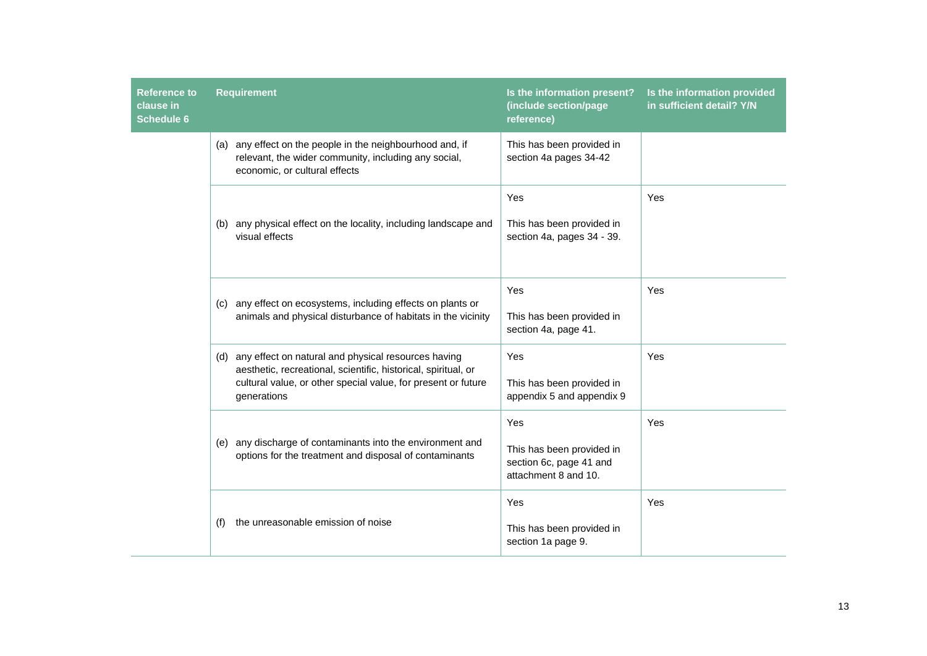| <b>Reference to</b><br>clause in<br><b>Schedule 6</b> | <b>Requirement</b>                                                                                                                                                                                        | Is the information present?<br>(include section/page<br>reference)                  | Is the information provided<br>in sufficient detail? Y/N |
|-------------------------------------------------------|-----------------------------------------------------------------------------------------------------------------------------------------------------------------------------------------------------------|-------------------------------------------------------------------------------------|----------------------------------------------------------|
|                                                       | (a) any effect on the people in the neighbourhood and, if<br>relevant, the wider community, including any social,<br>economic, or cultural effects                                                        | This has been provided in<br>section 4a pages 34-42                                 |                                                          |
|                                                       | (b) any physical effect on the locality, including landscape and<br>visual effects                                                                                                                        | Yes<br>This has been provided in<br>section 4a, pages 34 - 39.                      | Yes                                                      |
|                                                       | any effect on ecosystems, including effects on plants or<br>(C)<br>animals and physical disturbance of habitats in the vicinity                                                                           | Yes<br>This has been provided in<br>section 4a, page 41.                            | Yes                                                      |
|                                                       | (d) any effect on natural and physical resources having<br>aesthetic, recreational, scientific, historical, spiritual, or<br>cultural value, or other special value, for present or future<br>generations | Yes<br>This has been provided in<br>appendix 5 and appendix 9                       | Yes                                                      |
|                                                       | (e) any discharge of contaminants into the environment and<br>options for the treatment and disposal of contaminants                                                                                      | Yes<br>This has been provided in<br>section 6c, page 41 and<br>attachment 8 and 10. | Yes                                                      |
|                                                       | the unreasonable emission of noise<br>(f)                                                                                                                                                                 | Yes<br>This has been provided in<br>section 1a page 9.                              | Yes                                                      |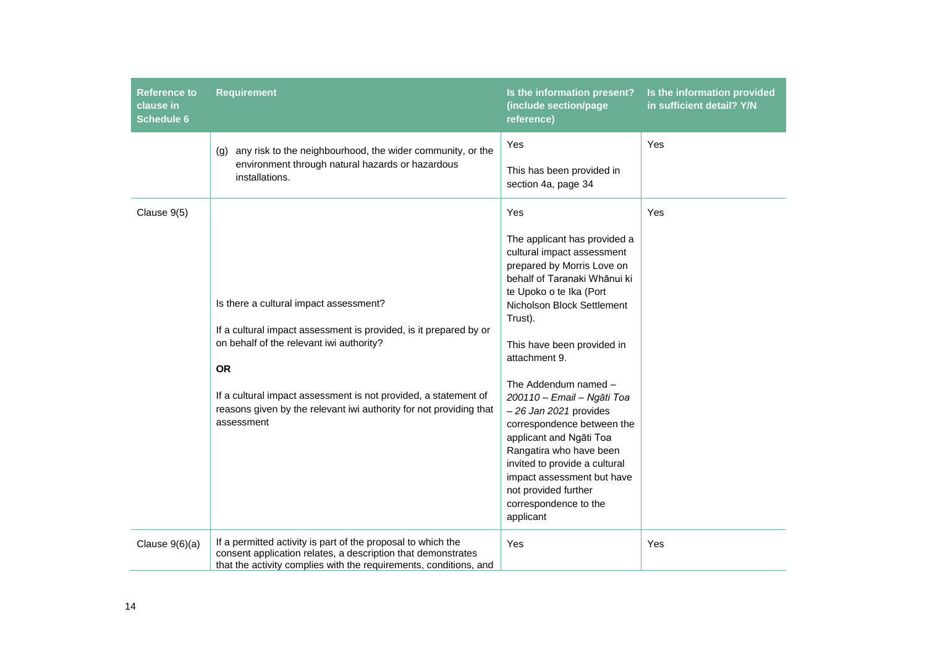| Reference to<br>clause in<br><b>Schedule 6</b> | <b>Requirement</b>                                                                                                                                                                                                                                                                                                          | Is the information present?<br>(include section/page<br>reference)                                                                                                                                                                                                                                                                                                                                                                                                                                                                                   | Is the information provided<br>in sufficient detail? Y/N |
|------------------------------------------------|-----------------------------------------------------------------------------------------------------------------------------------------------------------------------------------------------------------------------------------------------------------------------------------------------------------------------------|------------------------------------------------------------------------------------------------------------------------------------------------------------------------------------------------------------------------------------------------------------------------------------------------------------------------------------------------------------------------------------------------------------------------------------------------------------------------------------------------------------------------------------------------------|----------------------------------------------------------|
|                                                | any risk to the neighbourhood, the wider community, or the<br>(g)<br>environment through natural hazards or hazardous<br>installations.                                                                                                                                                                                     | Yes<br>This has been provided in<br>section 4a, page 34                                                                                                                                                                                                                                                                                                                                                                                                                                                                                              | Yes                                                      |
| Clause 9(5)                                    | Is there a cultural impact assessment?<br>If a cultural impact assessment is provided, is it prepared by or<br>on behalf of the relevant iwi authority?<br><b>OR</b><br>If a cultural impact assessment is not provided, a statement of<br>reasons given by the relevant iwi authority for not providing that<br>assessment | Yes<br>The applicant has provided a<br>cultural impact assessment<br>prepared by Morris Love on<br>behalf of Taranaki Whānui ki<br>te Upoko o te Ika (Port<br>Nicholson Block Settlement<br>Trust).<br>This have been provided in<br>attachment 9.<br>The Addendum named -<br>200110 - Email - Ngāti Toa<br>$-26$ Jan 2021 provides<br>correspondence between the<br>applicant and Ngāti Toa<br>Rangatira who have been<br>invited to provide a cultural<br>impact assessment but have<br>not provided further<br>correspondence to the<br>applicant | Yes                                                      |
| Clause $9(6)(a)$                               | If a permitted activity is part of the proposal to which the<br>consent application relates, a description that demonstrates<br>that the activity complies with the requirements, conditions, and                                                                                                                           | Yes                                                                                                                                                                                                                                                                                                                                                                                                                                                                                                                                                  | Yes                                                      |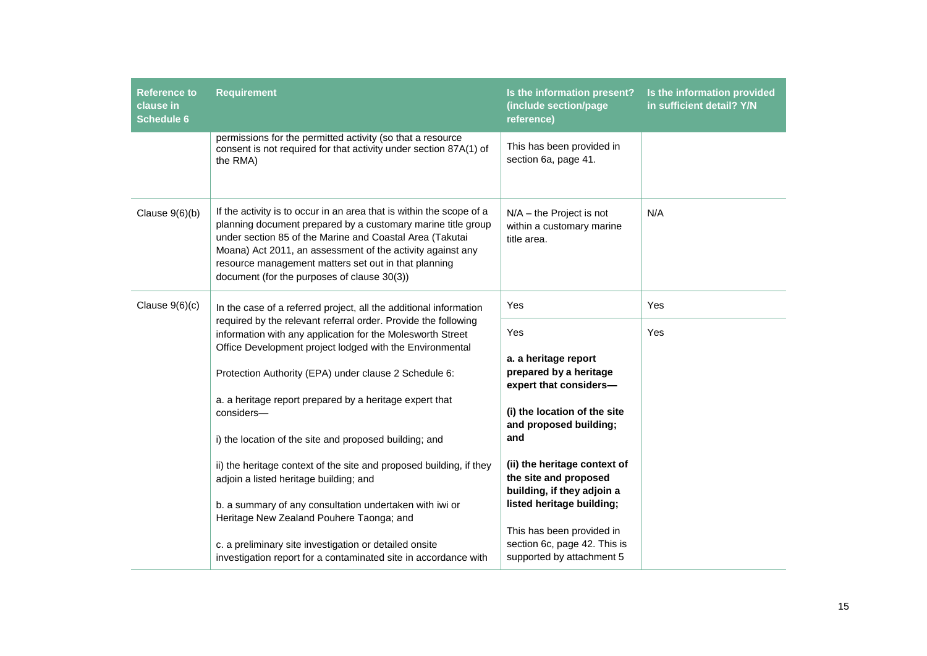| <b>Reference to</b><br>clause in<br><b>Schedule 6</b> | <b>Requirement</b>                                                                                                                                                                                                                                                                                                                                                    | Is the information present?<br>(include section/page<br>reference)                     | Is the information provided<br>in sufficient detail? Y/N |
|-------------------------------------------------------|-----------------------------------------------------------------------------------------------------------------------------------------------------------------------------------------------------------------------------------------------------------------------------------------------------------------------------------------------------------------------|----------------------------------------------------------------------------------------|----------------------------------------------------------|
|                                                       | permissions for the permitted activity (so that a resource<br>consent is not required for that activity under section 87A(1) of<br>the RMA)                                                                                                                                                                                                                           | This has been provided in<br>section 6a, page 41.                                      |                                                          |
| Clause $9(6)(b)$                                      | If the activity is to occur in an area that is within the scope of a<br>planning document prepared by a customary marine title group<br>under section 85 of the Marine and Coastal Area (Takutai<br>Moana) Act 2011, an assessment of the activity against any<br>resource management matters set out in that planning<br>document (for the purposes of clause 30(3)) | $N/A$ – the Project is not<br>within a customary marine<br>title area.                 | N/A                                                      |
| Clause $9(6)(c)$                                      | In the case of a referred project, all the additional information<br>required by the relevant referral order. Provide the following<br>information with any application for the Molesworth Street<br>Office Development project lodged with the Environmental                                                                                                         | Yes                                                                                    | Yes                                                      |
|                                                       |                                                                                                                                                                                                                                                                                                                                                                       | Yes<br>a. a heritage report                                                            | Yes                                                      |
|                                                       | Protection Authority (EPA) under clause 2 Schedule 6:                                                                                                                                                                                                                                                                                                                 | prepared by a heritage<br>expert that considers-                                       |                                                          |
|                                                       | a. a heritage report prepared by a heritage expert that<br>considers-                                                                                                                                                                                                                                                                                                 | (i) the location of the site<br>and proposed building;                                 |                                                          |
|                                                       | i) the location of the site and proposed building; and                                                                                                                                                                                                                                                                                                                | and                                                                                    |                                                          |
|                                                       | ii) the heritage context of the site and proposed building, if they<br>adjoin a listed heritage building; and                                                                                                                                                                                                                                                         | (ii) the heritage context of<br>the site and proposed<br>building, if they adjoin a    |                                                          |
|                                                       | b. a summary of any consultation undertaken with iwi or<br>Heritage New Zealand Pouhere Taonga; and                                                                                                                                                                                                                                                                   | listed heritage building;                                                              |                                                          |
|                                                       | c. a preliminary site investigation or detailed onsite<br>investigation report for a contaminated site in accordance with                                                                                                                                                                                                                                             | This has been provided in<br>section 6c, page 42. This is<br>supported by attachment 5 |                                                          |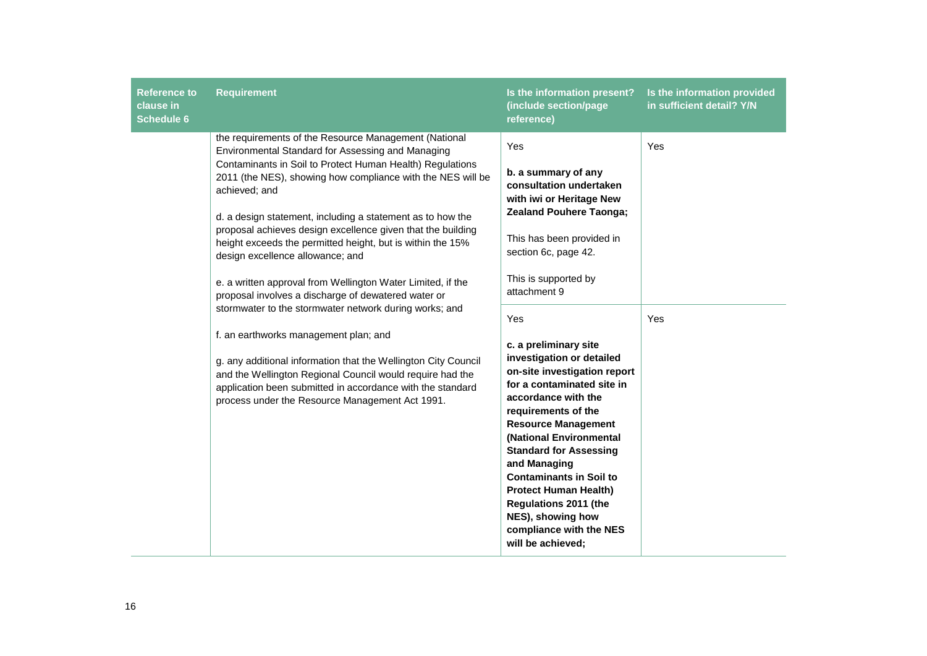| <b>Reference to</b><br>clause in<br><b>Schedule 6</b> | <b>Requirement</b>                                                                                                                                                                                                                                                                                                                                                                                                                                                                                                                                                                                                                                                                                                                                                                                                                                                                                                                                              | Is the information present?<br>(include section/page<br>reference)                                                                                                                                                                                                                                                                                                                                                                                                                                                                                                                                                                                                         | Is the information provided<br>in sufficient detail? Y/N |
|-------------------------------------------------------|-----------------------------------------------------------------------------------------------------------------------------------------------------------------------------------------------------------------------------------------------------------------------------------------------------------------------------------------------------------------------------------------------------------------------------------------------------------------------------------------------------------------------------------------------------------------------------------------------------------------------------------------------------------------------------------------------------------------------------------------------------------------------------------------------------------------------------------------------------------------------------------------------------------------------------------------------------------------|----------------------------------------------------------------------------------------------------------------------------------------------------------------------------------------------------------------------------------------------------------------------------------------------------------------------------------------------------------------------------------------------------------------------------------------------------------------------------------------------------------------------------------------------------------------------------------------------------------------------------------------------------------------------------|----------------------------------------------------------|
|                                                       | the requirements of the Resource Management (National<br>Environmental Standard for Assessing and Managing<br>Contaminants in Soil to Protect Human Health) Regulations<br>2011 (the NES), showing how compliance with the NES will be<br>achieved; and<br>d. a design statement, including a statement as to how the<br>proposal achieves design excellence given that the building<br>height exceeds the permitted height, but is within the 15%<br>design excellence allowance; and<br>e. a written approval from Wellington Water Limited, if the<br>proposal involves a discharge of dewatered water or<br>stormwater to the stormwater network during works; and<br>f. an earthworks management plan; and<br>g. any additional information that the Wellington City Council<br>and the Wellington Regional Council would require had the<br>application been submitted in accordance with the standard<br>process under the Resource Management Act 1991. | Yes<br>b. a summary of any<br>consultation undertaken<br>with iwi or Heritage New<br><b>Zealand Pouhere Taonga;</b><br>This has been provided in<br>section 6c, page 42.<br>This is supported by<br>attachment 9<br>Yes<br>c. a preliminary site<br>investigation or detailed<br>on-site investigation report<br>for a contaminated site in<br>accordance with the<br>requirements of the<br><b>Resource Management</b><br>(National Environmental<br><b>Standard for Assessing</b><br>and Managing<br><b>Contaminants in Soil to</b><br><b>Protect Human Health)</b><br><b>Regulations 2011 (the</b><br>NES), showing how<br>compliance with the NES<br>will be achieved; | Yes<br>Yes                                               |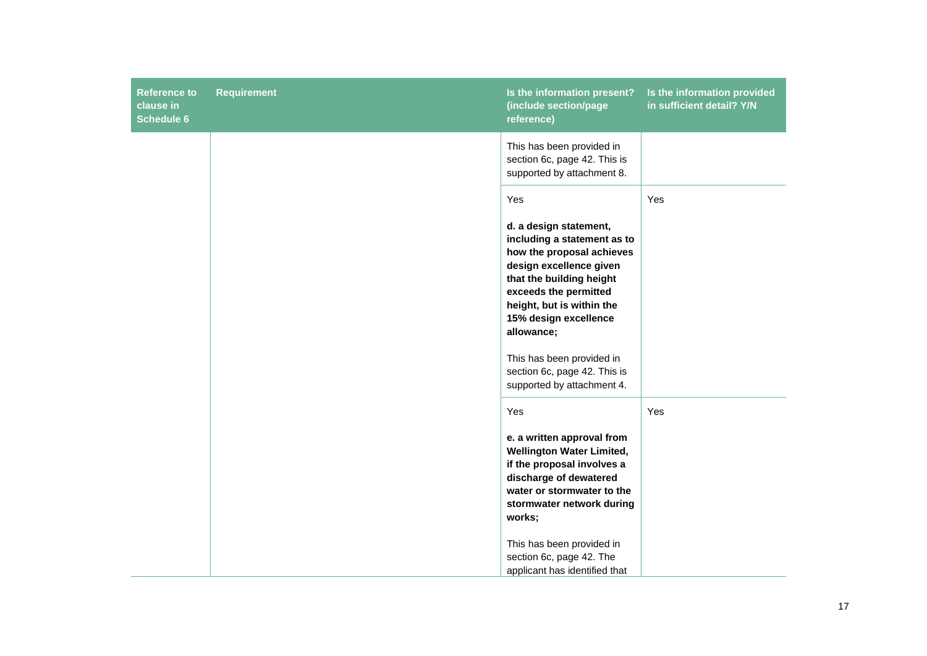| <b>Reference to</b><br>clause in<br><b>Schedule 6</b> | <b>Requirement</b> | Is the information present?<br>(include section/page<br>reference)                                                                                                                                                                                                                                                                       | Is the information provided<br>in sufficient detail? Y/N |
|-------------------------------------------------------|--------------------|------------------------------------------------------------------------------------------------------------------------------------------------------------------------------------------------------------------------------------------------------------------------------------------------------------------------------------------|----------------------------------------------------------|
|                                                       |                    | This has been provided in<br>section 6c, page 42. This is<br>supported by attachment 8.                                                                                                                                                                                                                                                  |                                                          |
|                                                       |                    | Yes<br>d. a design statement,<br>including a statement as to<br>how the proposal achieves<br>design excellence given<br>that the building height<br>exceeds the permitted<br>height, but is within the<br>15% design excellence<br>allowance;<br>This has been provided in<br>section 6c, page 42. This is<br>supported by attachment 4. | Yes                                                      |
|                                                       |                    | Yes<br>e. a written approval from<br><b>Wellington Water Limited,</b><br>if the proposal involves a<br>discharge of dewatered<br>water or stormwater to the<br>stormwater network during<br>works;<br>This has been provided in<br>section 6c, page 42. The<br>applicant has identified that                                             | Yes                                                      |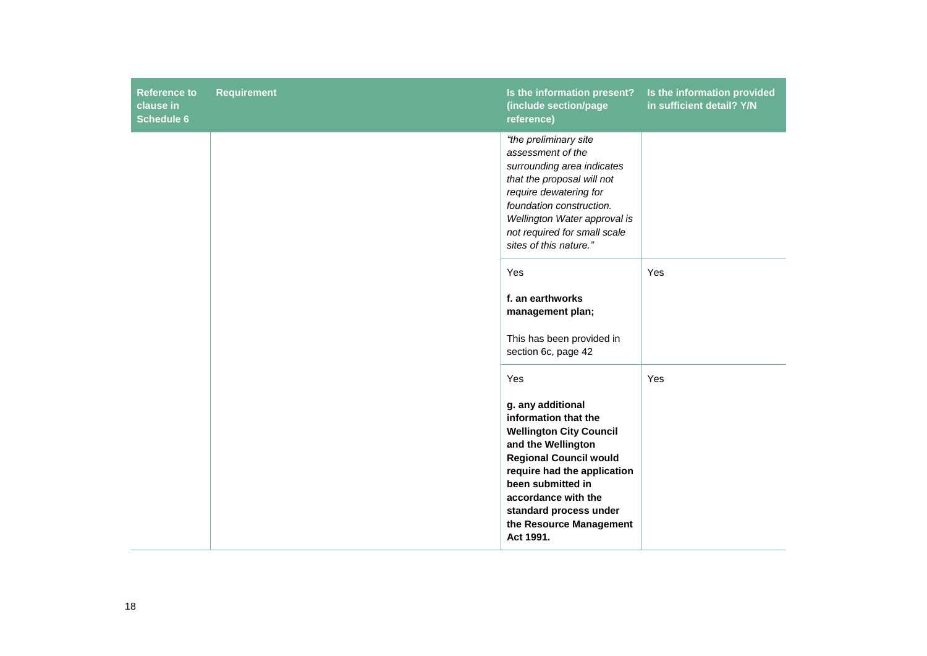| <b>Reference to</b><br>clause in<br><b>Schedule 6</b> | <b>Requirement</b> | Is the information present?<br>(include section/page<br>reference)                                                                                                                                                                                                                     | Is the information provided<br>in sufficient detail? Y/N |
|-------------------------------------------------------|--------------------|----------------------------------------------------------------------------------------------------------------------------------------------------------------------------------------------------------------------------------------------------------------------------------------|----------------------------------------------------------|
|                                                       |                    | "the preliminary site<br>assessment of the<br>surrounding area indicates<br>that the proposal will not<br>require dewatering for<br>foundation construction.<br>Wellington Water approval is<br>not required for small scale<br>sites of this nature."                                 |                                                          |
|                                                       |                    | Yes<br>f. an earthworks<br>management plan;<br>This has been provided in<br>section 6c, page 42                                                                                                                                                                                        | Yes                                                      |
|                                                       |                    | Yes<br>g. any additional<br>information that the<br><b>Wellington City Council</b><br>and the Wellington<br><b>Regional Council would</b><br>require had the application<br>been submitted in<br>accordance with the<br>standard process under<br>the Resource Management<br>Act 1991. | Yes                                                      |